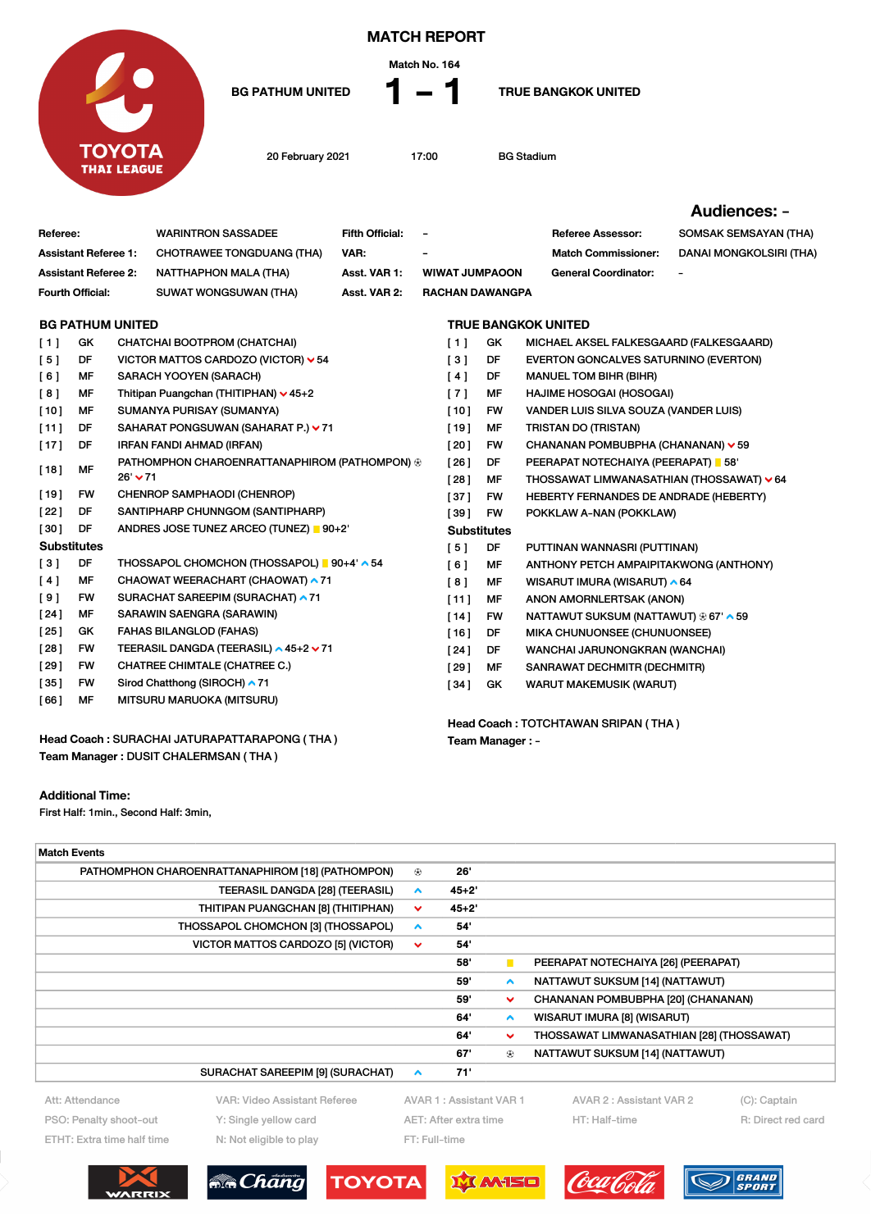

MATCH REPORT



BG PATHUM UNITED  $\bullet$  1 and 1 TRUE BANGKOK UNITED

20 February 2021 17:00 BG Stadium

Audiences: -

| Referee:                                     |           |                                        | <b>WARINTRON SASSADEE</b>                                        | <b>Fifth Official:</b> | $\overline{\phantom{a}}$            |                            | <b>Referee Assessor:</b>                  | SOMSAK SEMSAYAN (THA)   |  |  |  |
|----------------------------------------------|-----------|----------------------------------------|------------------------------------------------------------------|------------------------|-------------------------------------|----------------------------|-------------------------------------------|-------------------------|--|--|--|
| <b>Assistant Referee 1:</b>                  |           |                                        | <b>CHOTRAWEE TONGDUANG (THA)</b>                                 | VAR:                   |                                     |                            | <b>Match Commissioner:</b>                | DANAI MONGKOLSIRI (THA) |  |  |  |
| <b>Assistant Referee 2:</b>                  |           |                                        | <b>NATTHAPHON MALA (THA)</b>                                     | Asst. VAR 1:           | <b>WIWAT JUMPAOON</b>               |                            | <b>General Coordinator:</b>               |                         |  |  |  |
| Fourth Official:                             |           |                                        | SUWAT WONGSUWAN (THA)                                            | Asst. VAR 2:           | <b>RACHAN DAWANGPA</b>              |                            |                                           |                         |  |  |  |
| <b>BG PATHUM UNITED</b>                      |           |                                        |                                                                  |                        |                                     | <b>TRUE BANGKOK UNITED</b> |                                           |                         |  |  |  |
| [1]                                          | GK        |                                        | CHATCHAI BOOTPROM (CHATCHAI)                                     |                        | [1]                                 | GK                         | MICHAEL AKSEL FALKESGAARD (FALKESGAARD)   |                         |  |  |  |
| [5]                                          | DF        |                                        | VICTOR MATTOS CARDOZO (VICTOR) $\vee$ 54                         |                        | [3]                                 | DF                         | EVERTON GONCALVES SATURNINO (EVERTON)     |                         |  |  |  |
| [6]                                          | MF        |                                        | SARACH YOOYEN (SARACH)                                           |                        | [4]                                 | DF                         | <b>MANUEL TOM BIHR (BIHR)</b>             |                         |  |  |  |
| [8]                                          | MF        |                                        | Thitipan Puangchan (THITIPHAN) v 45+2                            |                        | $[7]$                               | MF                         | <b>HAJIME HOSOGAI (HOSOGAI)</b>           |                         |  |  |  |
| [10]                                         | MF        |                                        | SUMANYA PURISAY (SUMANYA)                                        |                        | $[10]$                              | FW                         | VANDER LUIS SILVA SOUZA (VANDER LUIS)     |                         |  |  |  |
| [11]                                         | DF        |                                        | SAHARAT PONGSUWAN (SAHARAT P.) ∨ 71                              |                        | $[19]$                              | MF                         | <b>TRISTAN DO (TRISTAN)</b>               |                         |  |  |  |
| $[17]$                                       | DF        |                                        | IRFAN FANDI AHMAD (IRFAN)                                        |                        | [20]                                | FW                         | CHANANAN POMBUBPHA (CHANANAN) v 59        |                         |  |  |  |
| [18]                                         | MF        |                                        | PATHOMPHON CHAROENRATTANAPHIROM (PATHOMPON) ®<br>$26'$ $\vee$ 71 |                        | [26]                                | DF                         | PEERAPAT NOTECHAIYA (PEERAPAT) 58'        |                         |  |  |  |
|                                              |           |                                        |                                                                  |                        | [28]                                | MF                         | THOSSAWAT LIMWANASATHIAN (THOSSAWAT) ∨ 64 |                         |  |  |  |
| [19]                                         | <b>FW</b> |                                        | CHENROP SAMPHAODI (CHENROP)                                      |                        | $[37]$                              | FW                         | HEBERTY FERNANDES DE ANDRADE (HEBERTY)    |                         |  |  |  |
| [22]                                         | DF        |                                        | SANTIPHARP CHUNNGOM (SANTIPHARP)                                 |                        | [39]                                | FW                         | POKKLAW A-NAN (POKKLAW)                   |                         |  |  |  |
| $[30]$                                       | DF        | ANDRES JOSE TUNEZ ARCEO (TUNEZ)   90+2 |                                                                  |                        | <b>Substitutes</b>                  |                            |                                           |                         |  |  |  |
| <b>Substitutes</b>                           |           |                                        |                                                                  |                        | [5]                                 | DF                         | PUTTINAN WANNASRI (PUTTINAN)              |                         |  |  |  |
| [3]                                          | DF        |                                        | THOSSAPOL CHOMCHON (THOSSAPOL) 90+4' ^ 54                        |                        | [6]                                 | MF                         | ANTHONY PETCH AMPAIPITAKWONG (ANTHONY)    |                         |  |  |  |
| [4]                                          | MF        |                                        | CHAOWAT WEERACHART (CHAOWAT) ▲ 71                                |                        | [8]                                 | MF                         | WISARUT IMURA (WISARUT) ^ 64              |                         |  |  |  |
| [9]                                          | <b>FW</b> |                                        | SURACHAT SAREEPIM (SURACHAT) ▲ 71                                |                        | [11]                                | MF                         | ANON AMORNLERTSAK (ANON)                  |                         |  |  |  |
| [24]                                         | MF        |                                        | SARAWIN SAENGRA (SARAWIN)                                        |                        | [14]                                | FW                         | NATTAWUT SUKSUM (NATTAWUT) ® 67' ^ 59     |                         |  |  |  |
| [25]                                         | GK        |                                        | <b>FAHAS BILANGLOD (FAHAS)</b>                                   |                        | [16]                                | DF                         | MIKA CHUNUONSEE (CHUNUONSEE)              |                         |  |  |  |
| [28]                                         | <b>FW</b> |                                        | TEERASIL DANGDA (TEERASIL) ∧45+2 ∨71                             |                        | [24]                                | DF                         | WANCHAI JARUNONGKRAN (WANCHAI)            |                         |  |  |  |
| [29]                                         | <b>FW</b> |                                        | <b>CHATREE CHIMTALE (CHATREE C.)</b>                             |                        | 1291                                | MF                         | SANRAWAT DECHMITR (DECHMITR)              |                         |  |  |  |
| [35]                                         | <b>FW</b> |                                        | Sirod Chatthong (SIROCH) ^ 71                                    |                        | [34]                                | GK                         | <b>WARUT MAKEMUSIK (WARUT)</b>            |                         |  |  |  |
| [66]                                         | MF        |                                        | MITSURU MARUOKA (MITSURU)                                        |                        |                                     |                            |                                           |                         |  |  |  |
|                                              |           |                                        |                                                                  |                        | Head Coach: TOTCHTAWAN SRIPAN (THA) |                            |                                           |                         |  |  |  |
| Head Coach: SURACHAI JATURAPATTARAPONG (THA) |           |                                        |                                                                  |                        |                                     | Team Manager : -           |                                           |                         |  |  |  |
|                                              |           |                                        | Team Manager: DUSIT CHALERMSAN (THA)                             |                        |                                     |                            |                                           |                         |  |  |  |

Additional Time:

First Half: 1min., Second Half: 3min,

WARRIX

| <b>Match Events</b>                |                                                  |                  |                                                    |                  |                                           |                    |  |  |  |  |  |  |
|------------------------------------|--------------------------------------------------|------------------|----------------------------------------------------|------------------|-------------------------------------------|--------------------|--|--|--|--|--|--|
|                                    | PATHOMPHON CHAROENRATTANAPHIROM [18] (PATHOMPON) | ⊛                | 26'                                                |                  |                                           |                    |  |  |  |  |  |  |
|                                    | $\hat{\phantom{a}}$                              | $45 + 2'$        |                                                    |                  |                                           |                    |  |  |  |  |  |  |
|                                    | ⌄                                                | $45 + 2'$        |                                                    |                  |                                           |                    |  |  |  |  |  |  |
| THOSSAPOL CHOMCHON [3] (THOSSAPOL) | $\blacktriangle$                                 | 54               |                                                    |                  |                                           |                    |  |  |  |  |  |  |
|                                    | $\checkmark$                                     | 54               |                                                    |                  |                                           |                    |  |  |  |  |  |  |
|                                    |                                                  |                  | 58'                                                | п                | PEERAPAT NOTECHAIYA [26] (PEERAPAT)       |                    |  |  |  |  |  |  |
|                                    |                                                  |                  | 59'                                                | $\blacktriangle$ | NATTAWUT SUKSUM [14] (NATTAWUT)           |                    |  |  |  |  |  |  |
|                                    |                                                  |                  | 59'                                                | $\checkmark$     | CHANANAN POMBUBPHA [20] (CHANANAN)        |                    |  |  |  |  |  |  |
|                                    |                                                  |                  | 64'                                                | $\blacktriangle$ | WISARUT IMURA [8] (WISARUT)               |                    |  |  |  |  |  |  |
|                                    |                                                  |                  | 64'                                                | $\checkmark$     | THOSSAWAT LIMWANASATHIAN [28] (THOSSAWAT) |                    |  |  |  |  |  |  |
|                                    |                                                  |                  | 67'<br><b>NATTAWUT SUKSUM [14] (NATTAWUT)</b><br>⊕ |                  |                                           |                    |  |  |  |  |  |  |
|                                    | SURACHAT SAREEPIM [9] (SURACHAT)                 | $\blacktriangle$ | 71'                                                |                  |                                           |                    |  |  |  |  |  |  |
| Att: Attendance                    | VAR: Video Assistant Referee                     |                  | AVAR 1: Assistant VAR 1                            |                  | AVAR 2 : Assistant VAR 2                  | (C): Captain       |  |  |  |  |  |  |
| PSO: Penalty shoot-out             | Y: Single yellow card                            |                  | AET: After extra time                              |                  | HT: Half-time                             | R: Direct red card |  |  |  |  |  |  |
| ETHT: Extra time half time         | N: Not eligible to play                          |                  | FT: Full-time                                      |                  |                                           |                    |  |  |  |  |  |  |
|                                    |                                                  |                  |                                                    |                  |                                           |                    |  |  |  |  |  |  |
|                                    | <b>Ma</b> Chang<br><b>TOYOTA</b>                 |                  | <b>MANSO</b>                                       |                  |                                           | GRAND              |  |  |  |  |  |  |
|                                    |                                                  |                  |                                                    |                  |                                           | <b>SPORT</b>       |  |  |  |  |  |  |